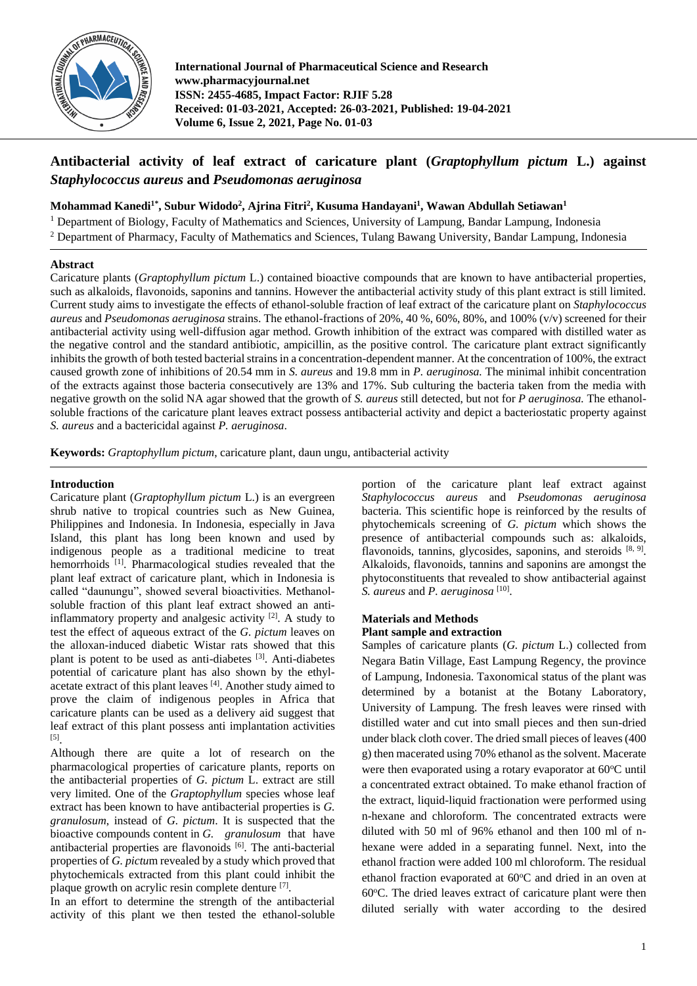

**International Journal of Pharmaceutical Science and Research www.pharmacyjournal.net ISSN: 2455-4685, Impact Factor: RJIF 5.28 Received: 01-03-2021, Accepted: 26-03-2021, Published: 19-04-2021 Volume 6, Issue 2, 2021, Page No. 01-03**

# **Antibacterial activity of leaf extract of caricature plant (***Graptophyllum pictum* **L.) against**  *Staphylococcus aureus* **and** *Pseudomonas aeruginosa*

**Mohammad Kanedi1\*, Subur Widodo<sup>2</sup> , Ajrina Fitri<sup>2</sup> , Kusuma Handayani<sup>1</sup> , Wawan Abdullah Setiawan<sup>1</sup>**

<sup>1</sup> Department of Biology, Faculty of Mathematics and Sciences, University of Lampung, Bandar Lampung, Indonesia <sup>2</sup> Department of Pharmacy, Faculty of Mathematics and Sciences, Tulang Bawang University, Bandar Lampung, Indonesia

## **Abstract**

Caricature plants (*Graptophyllum pictum* L.) contained bioactive compounds that are known to have antibacterial properties, such as alkaloids, flavonoids, saponins and tannins. However the antibacterial activity study of this plant extract is still limited. Current study aims to investigate the effects of ethanol-soluble fraction of leaf extract of the caricature plant on *Staphylococcus aureus* and *Pseudomonas aeruginosa* strains. The ethanol-fractions of 20%, 40 %, 60%, 80%, and 100% (v/v) screened for their antibacterial activity using well-diffusion agar method. Growth inhibition of the extract was compared with distilled water as the negative control and the standard antibiotic, ampicillin, as the positive control. The caricature plant extract significantly inhibits the growth of both tested bacterial strains in a concentration-dependent manner. At the concentration of 100%, the extract caused growth zone of inhibitions of 20.54 mm in *S. aureus* and 19.8 mm in *P. aeruginosa.* The minimal inhibit concentration of the extracts against those bacteria consecutively are 13% and 17%. Sub culturing the bacteria taken from the media with negative growth on the solid NA agar showed that the growth of *S. aureus* still detected, but not for *P aeruginosa.* The ethanolsoluble fractions of the caricature plant leaves extract possess antibacterial activity and depict a bacteriostatic property against *S. aureus* and a bactericidal against *P. aeruginosa*.

**Keywords:** *Graptophyllum pictum*, caricature plant, daun ungu, antibacterial activity

# **Introduction**

Caricature plant (*Graptophyllum pictum* L.) is an evergreen shrub native to tropical countries such as New Guinea, Philippines and Indonesia. In Indonesia, especially in Java Island, this plant has long been known and used by indigenous people as a traditional medicine to treat hemorrhoids<sup>[1]</sup>. Pharmacological studies revealed that the plant leaf extract of caricature plant, which in Indonesia is called "daunungu", showed several bioactivities. Methanolsoluble fraction of this plant leaf extract showed an antiinflammatory property and analgesic activity [2]. A study to test the effect of aqueous extract of the *G. pictum* leaves on the alloxan-induced diabetic Wistar rats showed that this plant is potent to be used as anti-diabetes [3]. Anti-diabetes potential of caricature plant has also shown by the ethylacetate extract of this plant leaves [4]. Another study aimed to prove the claim of indigenous peoples in Africa that caricature plants can be used as a delivery aid suggest that leaf extract of this plant possess anti implantation activities [5] .

Although there are quite a lot of research on the pharmacological properties of caricature plants, reports on the antibacterial properties of *G. pictum* L. extract are still very limited. One of the *Graptophyllum* species whose leaf extract has been known to have antibacterial properties is *G. granulosum*, instead of *G. pictum*. It is suspected that the bioactive compounds content in *G. granulosum* that have antibacterial properties are flavonoids [6]. The anti-bacterial properties of *G. pictu*m revealed by a study which proved that phytochemicals extracted from this plant could inhibit the plaque growth on acrylic resin complete denture <sup>[7]</sup>.

In an effort to determine the strength of the antibacterial activity of this plant we then tested the ethanol-soluble

portion of the caricature plant leaf extract against *Staphylococcus aureus* and *Pseudomonas aeruginosa* bacteria. This scientific hope is reinforced by the results of phytochemicals screening of *G. pictum* which shows the presence of antibacterial compounds such as: alkaloids, flavonoids, tannins, glycosides, saponins, and steroids [8, 9]. Alkaloids, flavonoids, tannins and saponins are amongst the phytoconstituents that revealed to show antibacterial against *S. aureus* and *P. aeruginosa* [10] .

# **Materials and Methods Plant sample and extraction**

Samples of caricature plants (*G. pictum* L.) collected from Negara Batin Village, East Lampung Regency, the province of Lampung, Indonesia. Taxonomical status of the plant was determined by a botanist at the Botany Laboratory, University of Lampung. The fresh leaves were rinsed with distilled water and cut into small pieces and then sun-dried under black cloth cover. The dried small pieces of leaves (400 g) then macerated using 70% ethanol as the solvent. Macerate were then evaporated using a rotary evaporator at  $60^{\circ}$ C until a concentrated extract obtained. To make ethanol fraction of the extract, liquid-liquid fractionation were performed using n-hexane and chloroform. The concentrated extracts were diluted with 50 ml of 96% ethanol and then 100 ml of nhexane were added in a separating funnel. Next, into the ethanol fraction were added 100 ml chloroform. The residual ethanol fraction evaporated at  $60^{\circ}$ C and dried in an oven at  $60^{\circ}$ C. The dried leaves extract of caricature plant were then diluted serially with water according to the desired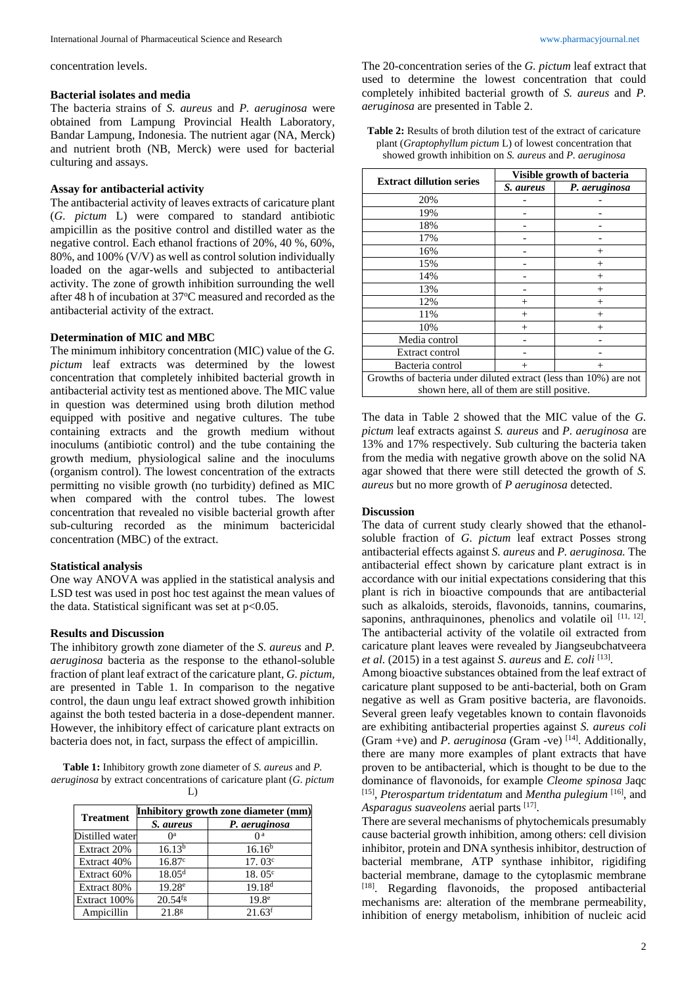concentration levels.

# **Bacterial isolates and media**

The bacteria strains of *S. aureus* and *P. aeruginosa* were obtained from Lampung Provincial Health Laboratory, Bandar Lampung, Indonesia. The nutrient agar (NA, Merck) and nutrient broth (NB, Merck) were used for bacterial culturing and assays.

## **Assay for antibacterial activity**

The antibacterial activity of leaves extracts of caricature plant (*G. pictum* L) were compared to standard antibiotic ampicillin as the positive control and distilled water as the negative control. Each ethanol fractions of 20%, 40 %, 60%, 80%, and 100% (V/V) as well as control solution individually loaded on the agar-wells and subjected to antibacterial activity. The zone of growth inhibition surrounding the well after 48 h of incubation at 37°C measured and recorded as the antibacterial activity of the extract.

#### **Determination of MIC and MBC**

The minimum inhibitory concentration (MIC) value of the *G. pictum* leaf extracts was determined by the lowest concentration that completely inhibited bacterial growth in antibacterial activity test as mentioned above. The MIC value in question was determined using broth dilution method equipped with positive and negative cultures. The tube containing extracts and the growth medium without inoculums (antibiotic control) and the tube containing the growth medium, physiological saline and the inoculums (organism control). The lowest concentration of the extracts permitting no visible growth (no turbidity) defined as MIC when compared with the control tubes. The lowest concentration that revealed no visible bacterial growth after sub-culturing recorded as the minimum bactericidal concentration (MBC) of the extract.

# **Statistical analysis**

One way ANOVA was applied in the statistical analysis and LSD test was used in post hoc test against the mean values of the data. Statistical significant was set at  $p<0.05$ .

#### **Results and Discussion**

The inhibitory growth zone diameter of the *S. aureus* and *P. aeruginosa* bacteria as the response to the ethanol-soluble fraction of plant leaf extract of the caricature plant, *G. pictum,*  are presented in Table 1. In comparison to the negative control, the daun ungu leaf extract showed growth inhibition against the both tested bacteria in a dose-dependent manner. However, the inhibitory effect of caricature plant extracts on bacteria does not, in fact, surpass the effect of ampicillin.

**Table 1:** Inhibitory growth zone diameter of *S. aureus* and *P. aeruginosa* by extract concentrations of caricature plant (*G. pictum*  L)

| <b>Treatment</b> | Inhibitory growth zone diameter (mm) |                      |  |
|------------------|--------------------------------------|----------------------|--|
|                  | S. aureus                            | P. aeruginosa        |  |
| Distilled water  | ∩a                                   | ∩a                   |  |
| Extract 20%      | $16.13^{b}$                          | 16.16 <sup>b</sup>   |  |
| Extract 40%      | 16.87c                               | 17.03c               |  |
| Extract 60%      | 18.05 <sup>d</sup>                   | 18.05c               |  |
| Extract 80%      | $19.28^e$                            | $19.18^{d}$          |  |
| Extract 100%     | $20.54$ <sup>fg</sup>                | 19.8 <sup>e</sup>    |  |
| Ampicillin       | 21.8 <sup>g</sup>                    | $21.63$ <sup>f</sup> |  |

The 20-concentration series of the *G. pictum* leaf extract that used to determine the lowest concentration that could completely inhibited bacterial growth of *S. aureus* and *P. aeruginosa* are presented in Table 2.

**Table 2:** Results of broth dilution test of the extract of caricature plant (*Graptophyllum pictum* L) of lowest concentration that showed growth inhibition on *S. aureus* and *P. aeruginosa*

|                                                                   | Visible growth of bacteria |               |  |  |
|-------------------------------------------------------------------|----------------------------|---------------|--|--|
| <b>Extract dillution series</b>                                   | S. aureus                  | P. aeruginosa |  |  |
| 20%                                                               |                            |               |  |  |
| 19%                                                               |                            |               |  |  |
| 18%                                                               |                            |               |  |  |
| 17%                                                               |                            |               |  |  |
| 16%                                                               |                            | $^{+}$        |  |  |
| 15%                                                               |                            | ┿             |  |  |
| 14%                                                               |                            | $^+$          |  |  |
| 13%                                                               |                            | $^{+}$        |  |  |
| 12%                                                               | $^+$                       | $^{+}$        |  |  |
| 11%                                                               | $^+$                       | $^{+}$        |  |  |
| 10%                                                               | $^+$                       | $^{+}$        |  |  |
| Media control                                                     |                            |               |  |  |
| Extract control                                                   |                            |               |  |  |
| Bacteria control                                                  | $^{+}$                     | $^{+}$        |  |  |
| Growths of bacteria under diluted extract (less than 10%) are not |                            |               |  |  |
| shown here, all of them are still positive.                       |                            |               |  |  |

The data in Table 2 showed that the MIC value of the *G. pictum* leaf extracts against *S. aureus* and *P. aeruginosa* are 13% and 17% respectively. Sub culturing the bacteria taken from the media with negative growth above on the solid NA agar showed that there were still detected the growth of *S. aureus* but no more growth of *P aeruginosa* detected.

#### **Discussion**

The data of current study clearly showed that the ethanolsoluble fraction of *G. pictum* leaf extract Posses strong antibacterial effects against *S. aureus* and *P. aeruginosa.* The antibacterial effect shown by caricature plant extract is in accordance with our initial expectations considering that this plant is rich in bioactive compounds that are antibacterial such as alkaloids, steroids, flavonoids, tannins, coumarins, saponins, anthraquinones, phenolics and volatile oil  $[11, 12]$ . The antibacterial activity of the volatile oil extracted from caricature plant leaves were revealed by Jiangseubchatveera *et al*. (2015) in a test against *S*. *aureus* and *E. coli* [13] .

Among bioactive substances obtained from the leaf extract of caricature plant supposed to be anti-bacterial, both on Gram negative as well as Gram positive bacteria, are flavonoids. Several green leafy vegetables known to contain flavonoids are exhibiting antibacterial properties against *S. aureus coli*  (Gram +ve) and *P. aeruginosa* (Gram -ve) [14] . Additionally, there are many more examples of plant extracts that have proven to be antibacterial, which is thought to be due to the dominance of flavonoids, for example *Cleome spinosa* Jaqc [15] , *Pterospartum tridentatum* and *Mentha pulegium* [16], and Asparagus suaveolens aerial parts <sup>[17]</sup>.

There are several mechanisms of phytochemicals presumably cause bacterial growth inhibition, among others: cell division inhibitor, protein and DNA synthesis inhibitor, destruction of bacterial membrane, ATP synthase inhibitor, rigidifing bacterial membrane, damage to the cytoplasmic membrane [18]. Regarding flavonoids, the proposed antibacterial mechanisms are: alteration of the membrane permeability, inhibition of energy metabolism, inhibition of nucleic acid